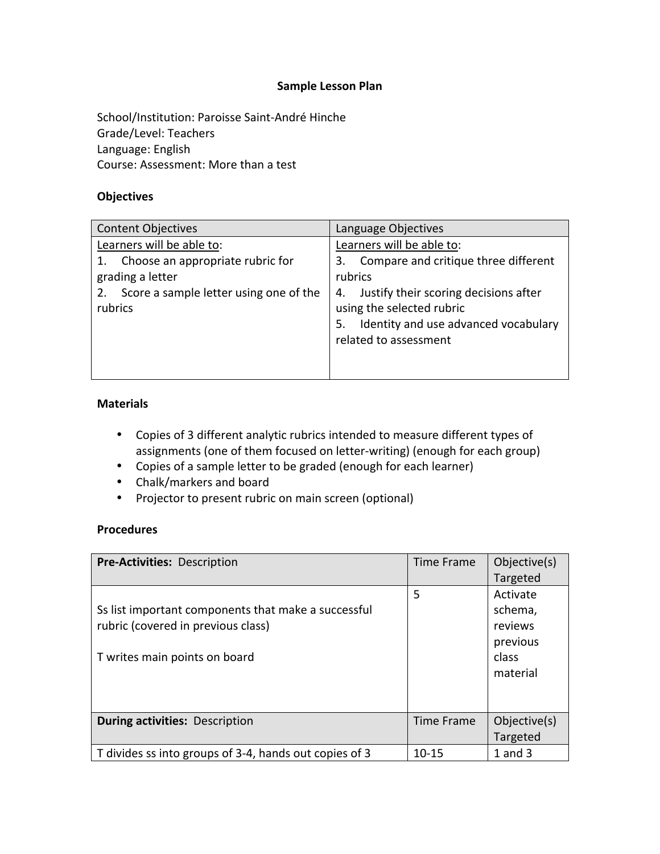### **Sample Lesson Plan**

School/Institution: Paroisse Saint-André Hinche Grade/Level: Teachers Language: English Course: Assessment: More than a test

#### **Objectives**

| <b>Content Objectives</b>                         | Language Objectives                                                                                                                             |  |  |
|---------------------------------------------------|-------------------------------------------------------------------------------------------------------------------------------------------------|--|--|
| Learners will be able to:                         | Learners will be able to:                                                                                                                       |  |  |
| Choose an appropriate rubric for                  | Compare and critique three different<br>3.                                                                                                      |  |  |
| grading a letter                                  | rubrics                                                                                                                                         |  |  |
| Score a sample letter using one of the<br>rubrics | Justify their scoring decisions after<br>4.<br>using the selected rubric<br>Identity and use advanced vocabulary<br>5.<br>related to assessment |  |  |

#### **Materials**

- Copies of 3 different analytic rubrics intended to measure different types of assignments (one of them focused on letter-writing) (enough for each group)
- Copies of a sample letter to be graded (enough for each learner)
- Chalk/markers and board
- Projector to present rubric on main screen (optional)

## **Procedures**

| Pre-Activities: Description                                                                                                | Time Frame        | Objective(s)<br>Targeted                                        |
|----------------------------------------------------------------------------------------------------------------------------|-------------------|-----------------------------------------------------------------|
| Ss list important components that make a successful<br>rubric (covered in previous class)<br>T writes main points on board | 5                 | Activate<br>schema,<br>reviews<br>previous<br>class<br>material |
| <b>During activities: Description</b>                                                                                      | <b>Time Frame</b> | Objective(s)<br>Targeted                                        |
| T divides ss into groups of 3-4, hands out copies of 3                                                                     | $10 - 15$         | $1$ and $3$                                                     |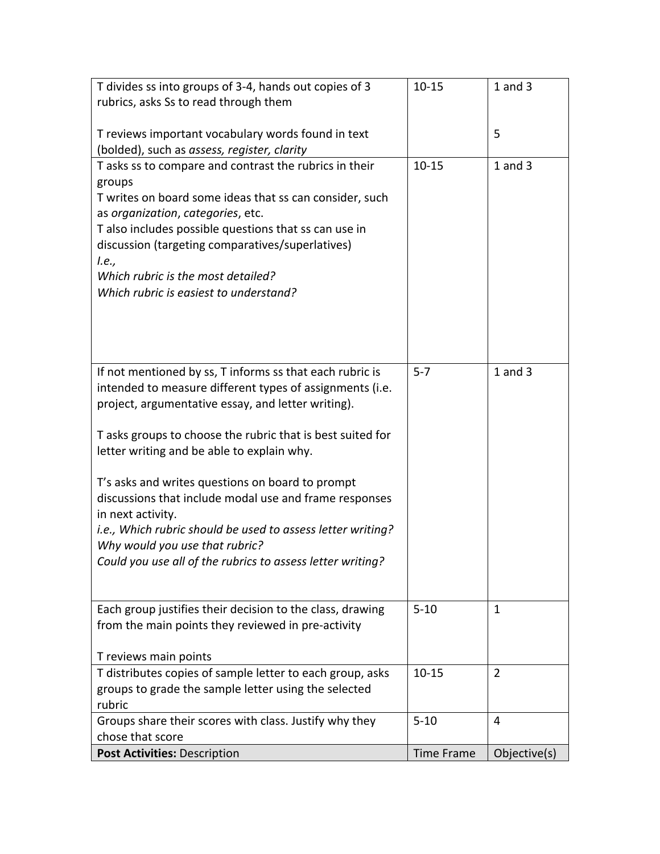| T divides ss into groups of 3-4, hands out copies of 3                             | $10 - 15$         | $1$ and $3$    |
|------------------------------------------------------------------------------------|-------------------|----------------|
| rubrics, asks Ss to read through them                                              |                   |                |
|                                                                                    |                   |                |
| T reviews important vocabulary words found in text                                 |                   | 5              |
| (bolded), such as assess, register, clarity                                        |                   |                |
| T asks ss to compare and contrast the rubrics in their                             | $10 - 15$         | $1$ and $3$    |
| groups                                                                             |                   |                |
| T writes on board some ideas that ss can consider, such                            |                   |                |
| as organization, categories, etc.                                                  |                   |                |
| T also includes possible questions that ss can use in                              |                   |                |
| discussion (targeting comparatives/superlatives)                                   |                   |                |
| l.e.,<br>Which rubric is the most detailed?                                        |                   |                |
| Which rubric is easiest to understand?                                             |                   |                |
|                                                                                    |                   |                |
|                                                                                    |                   |                |
|                                                                                    |                   |                |
|                                                                                    |                   |                |
| If not mentioned by ss, T informs ss that each rubric is                           | $5 - 7$           | $1$ and $3$    |
| intended to measure different types of assignments (i.e.                           |                   |                |
| project, argumentative essay, and letter writing).                                 |                   |                |
|                                                                                    |                   |                |
| T asks groups to choose the rubric that is best suited for                         |                   |                |
| letter writing and be able to explain why.                                         |                   |                |
|                                                                                    |                   |                |
| T's asks and writes questions on board to prompt                                   |                   |                |
| discussions that include modal use and frame responses                             |                   |                |
| in next activity.                                                                  |                   |                |
| i.e., Which rubric should be used to assess letter writing?                        |                   |                |
| Why would you use that rubric?                                                     |                   |                |
| Could you use all of the rubrics to assess letter writing?                         |                   |                |
|                                                                                    |                   |                |
|                                                                                    |                   |                |
| Each group justifies their decision to the class, drawing                          | $5 - 10$          | $\mathbf{1}$   |
| from the main points they reviewed in pre-activity                                 |                   |                |
|                                                                                    |                   |                |
| T reviews main points<br>T distributes copies of sample letter to each group, asks | $10 - 15$         | $\overline{2}$ |
| groups to grade the sample letter using the selected                               |                   |                |
| rubric                                                                             |                   |                |
| Groups share their scores with class. Justify why they                             | $5 - 10$          | 4              |
| chose that score                                                                   |                   |                |
| Post Activities: Description                                                       | <b>Time Frame</b> | Objective(s)   |